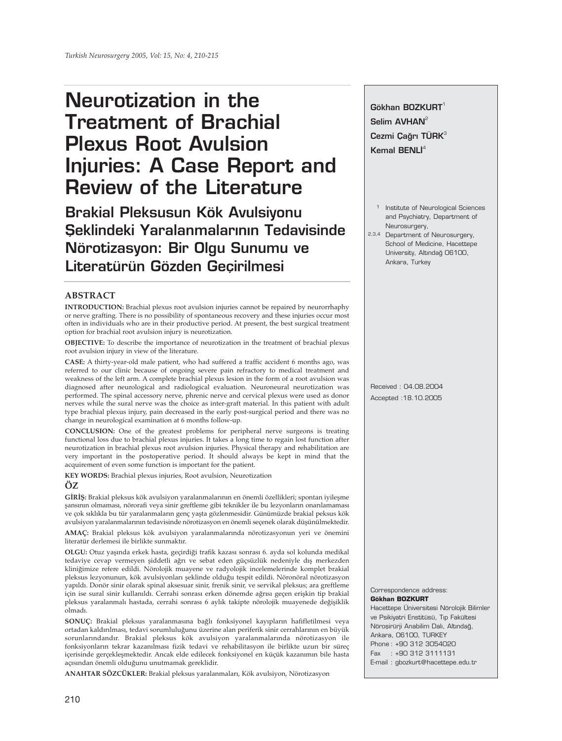# **Neurotization in the Treatment of Brachial Plexus Root Avulsion Injuries: A Case Report and Review of the Literature**

**Brakial Pleksusun Kök Avulsiyonu Seklindeki Yaralanmalarının Tedavisinde Nörotizasyon: Bir Olgu Sunumu ve Literatürün Gözden Geçirilmesi** 

### **ABSTRACT**

**INTRODUCTION:** Brachial plexus root avulsion injuries cannot be repaired by neurorrhaphy or nerve grafting. There is no possibility of spontaneous recovery and these injuries occur most often in individuals who are in their productive period. At present, the best surgical treatment option for brachial root avulsion injury is neurotization.

**OBJECTIVE:** To describe the importance of neurotization in the treatment of brachial plexus root avulsion injury in view of the literature.

**CASE:** A thirty-year-old male patient, who had suffered a traffic accident 6 months ago, was referred to our clinic because of ongoing severe pain refractory to medical treatment and weakness of the left arm. A complete brachial plexus lesion in the form of a root avulsion was diagnosed after neurological and radiological evaluation. Neuroneural neurotization was performed. The spinal accessory nerve, phrenic nerve and cervical plexus were used as donor nerves while the sural nerve was the choice as inter-graft material. In this patient with adult type brachial plexus injury, pain decreased in the early post-surgical period and there was no change in neurological examination at 6 months follow-up.

**CONCLUSION:** One of the greatest problems for peripheral nerve surgeons is treating functional loss due to brachial plexus injuries. It takes a long time to regain lost function after neurotization in brachial plexus root avulsion injuries. Physical therapy and rehabilitation are very important in the postoperative period. It should always be kept in mind that the acquirement of even some function is important for the patient.

**KEY WORDS:** Brachial plexus injuries, Root avulsion, Neurotization

## **ÖZ**

**GİRİŞ:** Brakial pleksus kök avulsiyon yaralanmalarının en önemli özellikleri; spontan iyileşme şansının olmaması, nörorafi veya sinir greftleme gibi teknikler ile bu lezyonların onarılamaması ve çok sıklıkla bu tür yaralanmaların genç yaşta gözlenmesidir. Günümüzde brakial peksus kök avulsiyon yaralanmalarının tedavisinde nörotizasyon en önemli seçenek olarak düşünülmektedir.

**AMAÇ:** Brakial pleksus kök avulsiyon yaralanmalarında nörotizasyonun yeri ve önemini literatür derlemesi ile birlikte sunmaktır.

**OLGU:** Otuz yaşında erkek hasta, geçirdiği trafik kazası sonrası 6. ayda sol kolunda medikal tedaviye cevap vermeyen şiddetli ağrı ve sebat eden güçsüzlük nedeniyle dış merkezden kliniğimize refere edildi. Nörolojik muayene ve radyolojik incelemelerinde komplet brakial pleksus lezyonunun, kök avulsiyonları şeklinde olduğu tespit edildi. Nöronöral nörotizasyon yapıldı. Donör sinir olarak spinal aksesuar sinir, frenik sinir, ve servikal pleksus; ara greftleme için ise sural sinir kullanıldı. Cerrahi sonrası erken dönemde ağrısı geçen erişkin tip brakial pleksus yaralanmalı hastada, cerrahi sonrası 6 aylık takipte nörolojik muayenede değişiklik olmadı.

**SONUÇ:** Brakial pleksus yaralanmasına bağlı fonksiyonel kayıpların hafifletilmesi veya ortadan kaldırılması, tedavi sorumluluğunu üzerine alan periferik sinir cerrahlarının en büyük sorunlarındandır. Brakial pleksus kök avulsiyon yaralanmalarında nörotizasyon ile fonksiyonların tekrar kazanılması fizik tedavi ve rehabilitasyon ile birlikte uzun bir süreç içerisinde gerçekleşmektedir. Ancak elde edilecek fonksiyonel en küçük kazanımın bile hasta açısından önemli olduğunu unutmamak gereklidir.

**ANAHTAR SÖZCÜKLER:** Brakial pleksus yaralanmaları, Kök avulsiyon, Nörotizasyon

**Gökhan BOZKURT**<sup>1</sup> Selim AVHAN<sup>2</sup> **Cezmi Çağrı TÜRK**<sup>3</sup> **Kemal BENLI**<sup>4</sup>

- 1 Institute of Neurological Sciences and Psychiatry, Department of Neurosurgery,
- 2,3,4 Department of Neurosurgery, School of Medicine, Hacettepe University, Altındağ 06100, Ankara, Turkey

Received : 04.08.2004 Accepted :18.10.2005

Correspondence address:

#### **Gökhan BOZKURT**

Hacettepe Üniversitesi Nörolojik Bilimler ve Psikiyatri Enstitüsü, Tıp Fakültesi Nöroşirürji Anabilim Dalı, Altındağ, Ankara, 06100, TURKEY Phone : +90 312 3054020 Fax : +90 312 3111131 E-mail : gbozkurt@hacettepe.edu.tr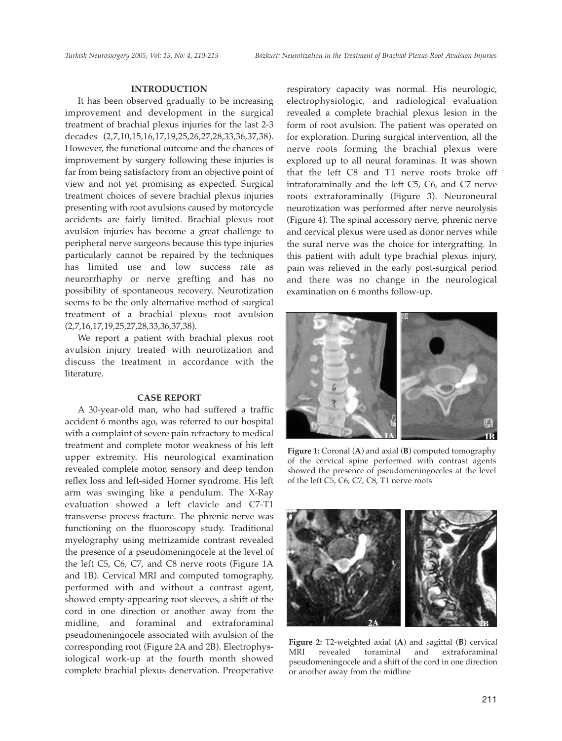#### **INTRODUCTION**

It has been observed gradually to be increasing improvement and development in the surgical treatment of brachial plexus injuries for the last 2-3 decades (2,7,10,15,16,17,19,25,26,27,28,33,36,37,38). However, the functional outcome and the chances of improvement by surgery following these injuries is far from being satisfactory from an objective point of view and not yet promising as expected. Surgical treatment choices of severe brachial plexus injuries presenting with root avulsions caused by motorcycle accidents are fairly limited. Brachial plexus root avulsion injuries has become a great challenge to peripheral nerve surgeons because this type injuries particularly cannot be repaired by the techniques has limited use and low success rate as neurorrhaphy or nerve grefting and has no possibility of spontaneous recovery. Neurotization seems to be the only alternative method of surgical treatment of a brachial plexus root avulsion (2,7,16,17,19,25,27,28,33,36,37,38).

We report a patient with brachial plexus root avulsion injury treated with neurotization and discuss the treatment in accordance with the literature.

#### **CASE REPORT**

A 30-year-old man, who had suffered a traffic accident 6 months ago, was referred to our hospital with a complaint of severe pain refractory to medical treatment and complete motor weakness of his left upper extremity. His neurological examination revealed complete motor, sensory and deep tendon reflex loss and left-sided Horner syndrome. His left arm was swinging like a pendulum. The X-Ray evaluation showed a left clavicle and C7-T1 transverse process fracture. The phrenic nerve was functioning on the fluoroscopy study. Traditional myelography using metrizamide contrast revealed the presence of a pseudomeningocele at the level of the left C5, C6, C7, and C8 nerve roots (Figure 1A and 1B). Cervical MRI and computed tomography, performed with and without a contrast agent, showed empty-appearing root sleeves, a shift of the cord in one direction or another away from the midline, and foraminal and extraforaminal pseudomeningocele associated with avulsion of the corresponding root (Figure 2A and 2B). Electrophysiological work-up at the fourth month showed complete brachial plexus denervation. Preoperative

respiratory capacity was normal. His neurologic, electrophysiologic, and radiological evaluation revealed a complete brachial plexus lesion in the form of root avulsion. The patient was operated on for exploration. During surgical intervention, all the nerve roots forming the brachial plexus were explored up to all neural foraminas. It was shown that the left C8 and T1 nerve roots broke off intraforaminally and the left C5, C6, and C7 nerve roots extraforaminally (Figure 3). Neuroneural neurotization was performed after nerve neurolysis (Figure 4). The spinal accessory nerve, phrenic nerve and cervical plexus were used as donor nerves while the sural nerve was the choice for intergrafting. In this patient with adult type brachial plexus injury, pain was relieved in the early post-surgical period and there was no change in the neurological examination on 6 months follow-up.



**Figure 1:** Coronal (**A**) and axial (**B**) computed tomography of the cervical spine performed with contrast agents showed the presence of pseudomeningoceles at the level of the left C5, C6, C7, C8, T1 nerve roots



**Figure 2:** T2-weighted axial (**A**) and sagittal (**B**) cervical MRI revealed foraminal and pseudomeningocele and a shift of the cord in one direction or another away from the midline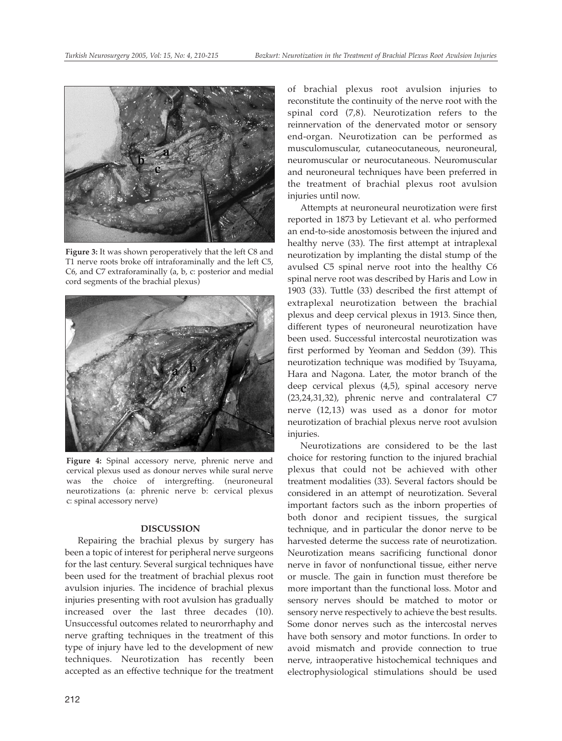

**Figure 3:** It was shown peroperatively that the left C8 and T1 nerve roots broke off intraforaminally and the left C5, C6, and C7 extraforaminally (a, b, c: posterior and medial cord segments of the brachial plexus)



**Figure 4:** Spinal accessory nerve, phrenic nerve and cervical plexus used as donour nerves while sural nerve was the choice of intergrefting. (neuroneural neurotizations (a: phrenic nerve b: cervical plexus c: spinal accessory nerve)

#### **DISCUSSION**

Repairing the brachial plexus by surgery has been a topic of interest for peripheral nerve surgeons for the last century. Several surgical techniques have been used for the treatment of brachial plexus root avulsion injuries. The incidence of brachial plexus injuries presenting with root avulsion has gradually increased over the last three decades (10). Unsuccessful outcomes related to neurorrhaphy and nerve grafting techniques in the treatment of this type of injury have led to the development of new techniques. Neurotization has recently been accepted as an effective technique for the treatment

of brachial plexus root avulsion injuries to reconstitute the continuity of the nerve root with the spinal cord (7,8). Neurotization refers to the reinnervation of the denervated motor or sensory end-organ. Neurotization can be performed as musculomuscular, cutaneocutaneous, neuroneural, neuromuscular or neurocutaneous. Neuromuscular and neuroneural techniques have been preferred in the treatment of brachial plexus root avulsion injuries until now.

Attempts at neuroneural neurotization were first reported in 1873 by Letievant et al. who performed an end-to-side anostomosis between the injured and healthy nerve (33). The first attempt at intraplexal neurotization by implanting the distal stump of the avulsed C5 spinal nerve root into the healthy C6 spinal nerve root was described by Haris and Low in 1903 (33). Tuttle (33) described the first attempt of extraplexal neurotization between the brachial plexus and deep cervical plexus in 1913. Since then, different types of neuroneural neurotization have been used. Successful intercostal neurotization was first performed by Yeoman and Seddon (39). This neurotization technique was modified by Tsuyama, Hara and Nagona. Later, the motor branch of the deep cervical plexus (4,5), spinal accesory nerve (23,24,31,32), phrenic nerve and contralateral C7 nerve (12,13) was used as a donor for motor neurotization of brachial plexus nerve root avulsion injuries.

Neurotizations are considered to be the last choice for restoring function to the injured brachial plexus that could not be achieved with other treatment modalities (33). Several factors should be considered in an attempt of neurotization. Several important factors such as the inborn properties of both donor and recipient tissues, the surgical technique, and in particular the donor nerve to be harvested determe the success rate of neurotization. Neurotization means sacrificing functional donor nerve in favor of nonfunctional tissue, either nerve or muscle. The gain in function must therefore be more important than the functional loss. Motor and sensory nerves should be matched to motor or sensory nerve respectively to achieve the best results. Some donor nerves such as the intercostal nerves have both sensory and motor functions. In order to avoid mismatch and provide connection to true nerve, intraoperative histochemical techniques and electrophysiological stimulations should be used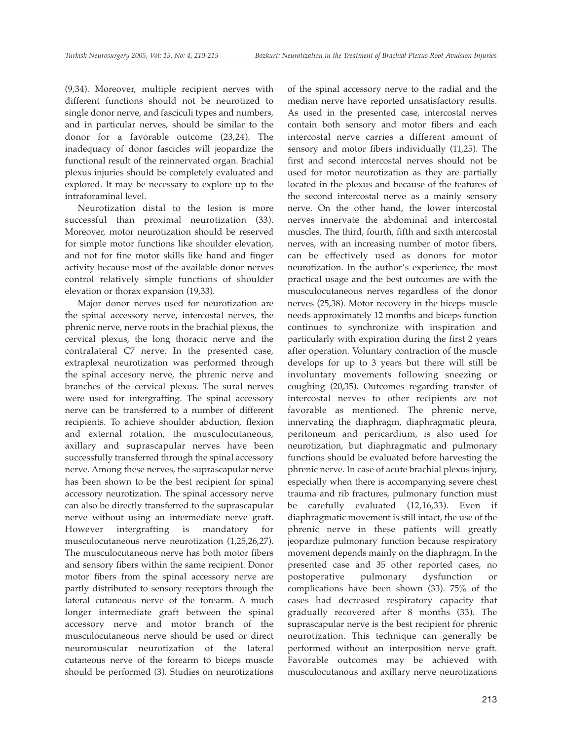(9,34). Moreover, multiple recipient nerves with different functions should not be neurotized to single donor nerve, and fasciculi types and numbers, and in particular nerves, should be similar to the donor for a favorable outcome (23,24). The inadequacy of donor fascicles will jeopardize the functional result of the reinnervated organ. Brachial plexus injuries should be completely evaluated and explored. It may be necessary to explore up to the intraforaminal level.

Neurotization distal to the lesion is more successful than proximal neurotization (33). Moreover, motor neurotization should be reserved for simple motor functions like shoulder elevation, and not for fine motor skills like hand and finger activity because most of the available donor nerves control relatively simple functions of shoulder elevation or thorax expansion (19,33).

Major donor nerves used for neurotization are the spinal accessory nerve, intercostal nerves, the phrenic nerve, nerve roots in the brachial plexus, the cervical plexus, the long thoracic nerve and the contralateral C7 nerve. In the presented case, extraplexal neurotization was performed through the spinal accesory nerve, the phrenic nerve and branches of the cervical plexus. The sural nerves were used for intergrafting. The spinal accessory nerve can be transferred to a number of different recipients. To achieve shoulder abduction, flexion and external rotation, the musculocutaneous, axillary and suprascapular nerves have been successfully transferred through the spinal accessory nerve. Among these nerves, the suprascapular nerve has been shown to be the best recipient for spinal accessory neurotization. The spinal accessory nerve can also be directly transferred to the suprascapular nerve without using an intermediate nerve graft. However intergrafting is mandatory for musculocutaneous nerve neurotization (1,25,26,27). The musculocutaneous nerve has both motor fibers and sensory fibers within the same recipient. Donor motor fibers from the spinal accessory nerve are partly distributed to sensory receptors through the lateral cutaneous nerve of the forearm. A much longer intermediate graft between the spinal accessory nerve and motor branch of the musculocutaneous nerve should be used or direct neuromuscular neurotization of the lateral cutaneous nerve of the forearm to biceps muscle should be performed (3). Studies on neurotizations

of the spinal accessory nerve to the radial and the median nerve have reported unsatisfactory results. As used in the presented case, intercostal nerves contain both sensory and motor fibers and each intercostal nerve carries a different amount of sensory and motor fibers individually (11,25). The first and second intercostal nerves should not be used for motor neurotization as they are partially located in the plexus and because of the features of the second intercostal nerve as a mainly sensory nerve. On the other hand, the lower intercostal nerves innervate the abdominal and intercostal muscles. The third, fourth, fifth and sixth intercostal nerves, with an increasing number of motor fibers, can be effectively used as donors for motor neurotization. In the author's experience, the most practical usage and the best outcomes are with the musculocutaneous nerves regardless of the donor nerves (25,38). Motor recovery in the biceps muscle needs approximately 12 months and biceps function continues to synchronize with inspiration and particularly with expiration during the first 2 years after operation. Voluntary contraction of the muscle develops for up to 3 years but there will still be involuntary movements following sneezing or coughing (20,35). Outcomes regarding transfer of intercostal nerves to other recipients are not favorable as mentioned. The phrenic nerve, innervating the diaphragm, diaphragmatic pleura, peritoneum and pericardium, is also used for neurotization, but diaphragmatic and pulmonary functions should be evaluated before harvesting the phrenic nerve. In case of acute brachial plexus injury, especially when there is accompanying severe chest trauma and rib fractures, pulmonary function must be carefully evaluated (12,16,33). Even if diaphragmatic movement is still intact, the use of the phrenic nerve in these patients will greatly jeopardize pulmonary function because respiratory movement depends mainly on the diaphragm. In the presented case and 35 other reported cases, no postoperative pulmonary dysfunction or complications have been shown (33). 75% of the cases had decreased respiratory capacity that gradually recovered after 8 months (33). The suprascapular nerve is the best recipient for phrenic neurotization. This technique can generally be performed without an interposition nerve graft. Favorable outcomes may be achieved with musculocutanous and axillary nerve neurotizations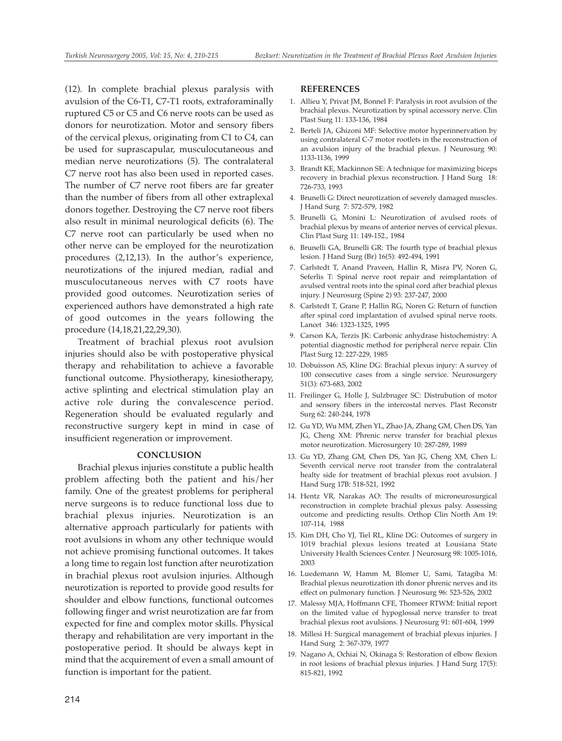(12). In complete brachial plexus paralysis with avulsion of the C6-T1, C7-T1 roots, extraforaminally ruptured C5 or C5 and C6 nerve roots can be used as donors for neurotization. Motor and sensory fibers of the cervical plexus, originating from C1 to C4, can be used for suprascapular, musculocutaneous and median nerve neurotizations (5). The contralateral C7 nerve root has also been used in reported cases. The number of C7 nerve root fibers are far greater than the number of fibers from all other extraplexal donors together. Destroying the C7 nerve root fibers also result in minimal neurological deficits (6). The C7 nerve root can particularly be used when no other nerve can be employed for the neurotization procedures (2,12,13). In the author's experience, neurotizations of the injured median, radial and musculocutaneous nerves with C7 roots have provided good outcomes. Neurotization series of experienced authors have demonstrated a high rate of good outcomes in the years following the procedure (14,18,21,22,29,30).

Treatment of brachial plexus root avulsion injuries should also be with postoperative physical therapy and rehabilitation to achieve a favorable functional outcome. Physiotherapy, kinesiotherapy, active splinting and electrical stimulation play an active role during the convalescence period. Regeneration should be evaluated regularly and reconstructive surgery kept in mind in case of insufficient regeneration or improvement.

#### **CONCLUSION**

Brachial plexus injuries constitute a public health problem affecting both the patient and his/her family. One of the greatest problems for peripheral nerve surgeons is to reduce functional loss due to brachial plexus injuries. Neurotization is an alternative approach particularly for patients with root avulsions in whom any other technique would not achieve promising functional outcomes. It takes a long time to regain lost function after neurotization in brachial plexus root avulsion injuries. Although neurotization is reported to provide good results for shoulder and elbow functions, functional outcomes following finger and wrist neurotization are far from expected for fine and complex motor skills. Physical therapy and rehabilitation are very important in the postoperative period. It should be always kept in mind that the acquirement of even a small amount of function is important for the patient.

#### **REFERENCES**

- 1. Allieu Y, Privat JM, Bonnel F: Paralysis in root avulsion of the brachial plexus. Neurotization by spinal accessory nerve. Clin Plast Surg 11: 133-136, 1984
- 2. Berteli JA, Ghizoni MF: Selective motor hyperinnervation by using contralateral C-7 motor rootlets in the reconstruction of an avulsion injury of the brachial plexus. J Neurosurg 90: 1133-1136, 1999
- 3. Brandt KE, Mackinnon SE: A technique for maximizing biceps recovery in brachial plexus reconstruction. J Hand Surg 18: 726-733, 1993
- 4. Brunelli G: Direct neurotization of severely damaged muscles. J Hand Surg 7: 572-579, 1982
- 5. Brunelli G, Monini L: Neurotization of avulsed roots of brachial plexus by means of anterior nerves of cervical plexus. Clin Plast Surg 11: 149-152., 1984
- 6. Brunelli GA, Brunelli GR: The fourth type of brachial plexus lesion. J Hand Surg (Br) 16(5): 492-494, 1991
- 7. Carlstedt T, Anand Praveen, Hallin R, Misra PV, Noren G, Seferlis T: Spinal nerve root repair and reimplantation of avulsed ventral roots into the spinal cord after brachial plexus injury. J Neurosurg (Spine 2) 93: 237-247, 2000
- 8. Carlstedt T, Grane P, Hallin RG, Noren G: Return of function after spinal cord implantation of avulsed spinal nerve roots. Lancet 346: 1323-1325, 1995
- 9. Carson KA, Terzis JK: Carbonic anhydrase histochemistry: A potential diagnostic method for peripheral nerve repair. Clin Plast Surg 12: 227-229, 1985
- 10. Dobuisson AS, Kline DG: Brachial plexus injury: A survey of 100 consecutive cases from a single service. Neurosurgery 51(3): 673-683, 2002
- 11. Freilinger G, Holle J, Sulzbruger SC: Distrubution of motor and sensory fibers in the intercostal nerves. Plast Reconstr Surg 62: 240-244, 1978
- 12. Gu YD, Wu MM, Zhen YL, Zhao JA, Zhang GM, Chen DS, Yan JG, Cheng XM: Phrenic nerve transfer for brachial plexus motor neurotization. Microsurgery 10: 287-289, 1989
- 13. Gu YD, Zhang GM, Chen DS, Yan JG, Cheng XM, Chen L: Seventh cervical nerve root transfer from the contralateral healty side for treatment of brachial plexus root avulsion. J Hand Surg 17B: 518-521, 1992
- 14. Hentz VR, Narakas AO: The results of microneurosurgical reconstruction in complete brachial plexus palsy. Assessing outcome and predicting results. Orthop Clin North Am 19: 107-114, 1988
- 15. Kim DH, Cho YJ, Tiel RL, Kline DG: Outcomes of surgery in 1019 brachial plexus lesions treated at Lousiana State University Health Sciences Center. J Neurosurg 98: 1005-1016, 2003
- 16. Luedemann W, Hamm M, Blomer U, Sami, Tatagiba M: Brachial plexus neurotization ith donor phrenic nerves and its effect on pulmonary function. J Neurosurg 96: 523-526, 2002
- 17. Malessy MJA, Hoffmann CFE, Thomeer RTWM: Initial report on the limited value of hypoglossal nerve transfer to treat brachial plexus root avulsions. J Neurosurg 91: 601-604, 1999
- 18. Millesi H: Surgical management of brachial plexus injuries. J Hand Surg 2: 367-379, 1977
- 19. Nagano A, Ochiai N, Okinaga S: Restoration of elbow flexion in root lesions of brachial plexus injuries. J Hand Surg 17(5): 815-821, 1992